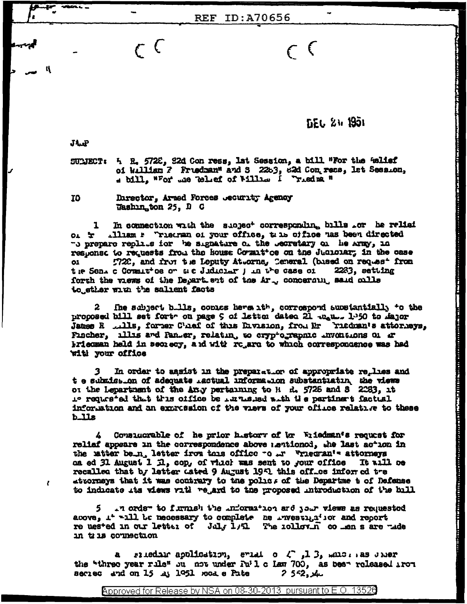**DEC 24 1951** 

المحافظ فالمتميز والمتماز المتحدث والمتحدث والمتحدث والمتحدث والمتماز والمتحدث والمتحدث

 $\epsilon$  (

 $J\Lambda$ <sub>r</sub> $P$ 

ĸ

 $\epsilon$ 

SUMECT: 5 R. 5728, 22d Con ress, 1st Session, a bill "For the Wellef of William 7 Fruedman" and S 2263, 82d Con recs, let Session, a bill. "For me Tellef of Willia I Trieded "

**REF ID:A70656** 

**TO** Director, Armed Forces Jecurity Agency Washington 25, D C

 $\epsilon$  (

In connection with the subject corresponding bills or he relief .Iliam \* Triecran of your office, the office has been directed  $01 - F$ -o prepare replies for the signature of the becretary of he Army, in response to requests from the house Covant ce on the Judiciar; in the case 7720, and from the Leputy Attorne, Ceneral (based on request from  $\mathbf{C}$ the Sens c Communice or and Judiciar jun the case of 2233, setting forth the views of the Depart ent of the Ar., concerning said cills to ether with the salient facts

 $\mathbf{2}^-$ The subject bills, contes here ith, correspond substantially to the proposed bill set fort on page 9 of latter dated 21 man. 1.50 to Major James R ... lls, forer C'hef of this Eivision, from Mr Fiedman's attorieys, Fischer, illis and Panter, relating to cryptographic inventions of ar briedman held in secrecy, and with rogard to which correspondence was had while roor dile

 $\overline{\mathbf{3}}$ In order to agsist in the preparation of appropriate relies and t e submission of adequate inctual information substantiatin, the views or the Lepartment of the Any pertaining to H d. 5725 and S 2283, it requested that this office be intrinsied with the pertinent factual information and an expression of the viers of your office relative to these  $b$ lls

Consucrable of he prior history of br Wiiedman's request for reliaf appears in the correspondence above mentioned, the last action in the utter bein, letter from this office to in "riedran's attorneys as ed 31 August 1 il, cop, of which was sent to your office It will be recalled that by letter dated 9 August 1951 this office informed tre attorneys that it was contrary to the police of the Departme t of Defense to indicate its views rith rejard to the proposed introduction of the bill

.n orde- to furnish the information and your views as requested 5 above, it will be necessary to complete he investigior and report re uested in our letter of July 1/51 The iollovin co men s are made in tris counsetion

riedno application, eviding  $\sqrt{2}$ ,  $\sqrt{3}$ , which as uner the "three year rule" ou not under Fu'l c Law 700, as been released iron secies and on 15 at 1951 rood e Pate  $2552,4$ 

Approved for Release by NSA on 08-30-2013 pursuant to E.O. 13526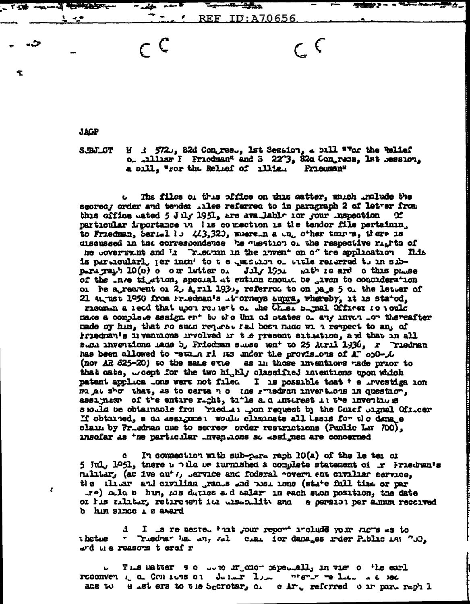**JAGP** 

 $\mathbf{r}$ 

SJBJ\_CT

**NGALERY** 

 $\frac{1}{2}$ 

÷

 $H \rightarrow 572$ , 82d Congres., Ist Session, a bill ""or the Telief o. . Dillar I Friedman" and S 2273, 82a Congress, 1st Session, a bill. "For the Relief of Illia. Frieuman"

ave...

REF.

ID:A70656

 $\subset \mathsf{C}$ 

The files of thus pffice on this aatter, which include the secrec, order and tender .iles referred to in paragraph 2 of let er from this office usted 5 July 1951, are available for your inspection \_ ය particular importance in lis correction is the tendor file pertainin. to Friedman, Serial is 443,320, wherein a und other thin s, there is discussed in the correspondence he question of the respective rights of he coverunt and I Treamen in the invent on of tre application filis is particularly jer inent to the quastion of the referred to in sib-<br>paragraph 10(0) on our letter of July 1901 with search on this phase of the the tightion, special at ention anound be given to consideration oi he a recrent oi 2, A, ril 193, referred to on pa e 5 oi the letter of 21 an ust 1950 from Priedman's it orneys supra, whereby, it is stated, ricomin a read that upon respect of the Cher Simal Officer to vould make a complete assign ent to the Uni of states of any invention thereafter made oy hin, that ro such request fall been nade will respect to an, of iriednan's liventions irvolved ir the present sitution, and that in all such inventions hade b, Friedman subsetent to 25 Auril 1936, r Triedman has been allowed to wethen ri its under the provisions of A" ob0-of (nor AR 325-20) to the same eve as in those inventions made prior to that cate, weept for the two highly classified intentions upon which patent applica Lons were not filed I is possible that t e investiga ion mi at show that, as to certain of the rinedran invertions in question, assimas of the entire right, tile a.d interest it the inventions s rould be obtainable from ried an upon request by the Chief oignal Ofitcer If obtained, a ca assignment would climinate all lasis for the dama e claim by Friedman que to secreo order restrictions (Public Lav 700). insofar as the particular inventions so assigned are concerned

In connection with sub-para raph 10(a) of the le tei of c. 5 Jul, 1951, tnere u pila ue iurnished a complete statement of r Friedman's nilitar, (ac ive out r, Service and foderal rovern ent civiliar service. the thear and civilian graces and post ions (state full time or par re) ala b hin, ms duties a d salar in each such position, the date oi his nilitar, retirement it uisability and the persion per almum recorved b him since I s award

I is re uested that your report include your niers as to *Lietue*  $\mathbf{w} = \mathbf{0}$ Triedra" ha in, ral clair for danages inder Public Lat "JJ, ard me reasons t eref r

This matter so were michor specially in viet of the earl Ū. reconvent to Contros of Julian Line niemer we like a c sec ade to east ers to the Secretar, c. e Ar, referred our part raph 1